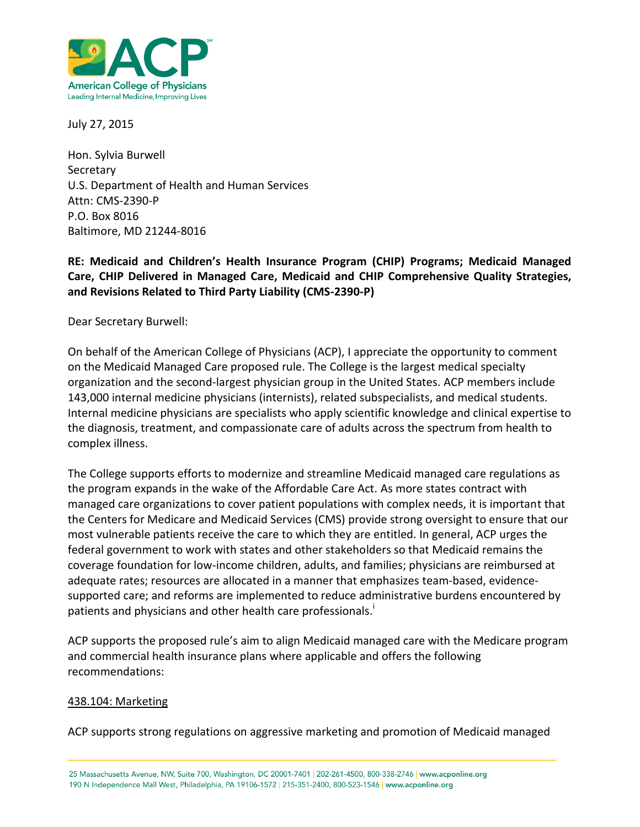

July 27, 2015

Hon. Sylvia Burwell **Secretary** U.S. Department of Health and Human Services Attn: CMS-2390-P P.O. Box 8016 Baltimore, MD 21244-8016

### **RE: Medicaid and Children's Health Insurance Program (CHIP) Programs; Medicaid Managed Care, CHIP Delivered in Managed Care, Medicaid and CHIP Comprehensive Quality Strategies, and Revisions Related to Third Party Liability (CMS-2390-P)**

Dear Secretary Burwell:

On behalf of the American College of Physicians (ACP), I appreciate the opportunity to comment on the Medicaid Managed Care proposed rule. The College is the largest medical specialty organization and the second-largest physician group in the United States. ACP members include 143,000 internal medicine physicians (internists), related subspecialists, and medical students. Internal medicine physicians are specialists who apply scientific knowledge and clinical expertise to the diagnosis, treatment, and compassionate care of adults across the spectrum from health to complex illness.

The College supports efforts to modernize and streamline Medicaid managed care regulations as the program expands in the wake of the Affordable Care Act. As more states contract with managed care organizations to cover patient populations with complex needs, it is important that the Centers for Medicare and Medicaid Services (CMS) provide strong oversight to ensure that our most vulnerable patients receive the care to which they are entitled. In general, ACP urges the federal government to work with states and other stakeholders so that Medicaid remains the coverage foundation for low-income children, adults, and families; physicians are reimbursed at adequate rates; resources are allocated in a manner that emphasizes team-based, evidencesupported care; and reforms are implemented to reduce administrative burdens encountered by patients and physicians and other health care professionals.<sup>i</sup>

ACP supports the proposed rule's aim to align Medicaid managed care with the Medicare program and commercial health insurance plans where applicable and offers the following recommendations:

#### 438.104: Marketing

ACP supports strong regulations on aggressive marketing and promotion of Medicaid managed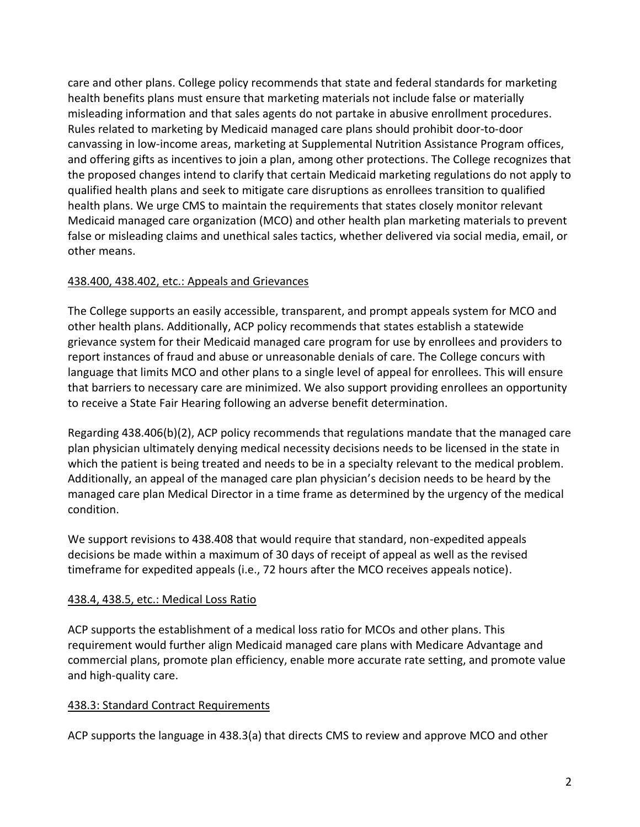care and other plans. College policy recommends that state and federal standards for marketing health benefits plans must ensure that marketing materials not include false or materially misleading information and that sales agents do not partake in abusive enrollment procedures. Rules related to marketing by Medicaid managed care plans should prohibit door-to-door canvassing in low-income areas, marketing at Supplemental Nutrition Assistance Program offices, and offering gifts as incentives to join a plan, among other protections. The College recognizes that the proposed changes intend to clarify that certain Medicaid marketing regulations do not apply to qualified health plans and seek to mitigate care disruptions as enrollees transition to qualified health plans. We urge CMS to maintain the requirements that states closely monitor relevant Medicaid managed care organization (MCO) and other health plan marketing materials to prevent false or misleading claims and unethical sales tactics, whether delivered via social media, email, or other means.

## 438.400, 438.402, etc.: Appeals and Grievances

The College supports an easily accessible, transparent, and prompt appeals system for MCO and other health plans. Additionally, ACP policy recommends that states establish a statewide grievance system for their Medicaid managed care program for use by enrollees and providers to report instances of fraud and abuse or unreasonable denials of care. The College concurs with language that limits MCO and other plans to a single level of appeal for enrollees. This will ensure that barriers to necessary care are minimized. We also support providing enrollees an opportunity to receive a State Fair Hearing following an adverse benefit determination.

Regarding 438.406(b)(2), ACP policy recommends that regulations mandate that the managed care plan physician ultimately denying medical necessity decisions needs to be licensed in the state in which the patient is being treated and needs to be in a specialty relevant to the medical problem. Additionally, an appeal of the managed care plan physician's decision needs to be heard by the managed care plan Medical Director in a time frame as determined by the urgency of the medical condition.

We support revisions to 438.408 that would require that standard, non-expedited appeals decisions be made within a maximum of 30 days of receipt of appeal as well as the revised timeframe for expedited appeals (i.e., 72 hours after the MCO receives appeals notice).

# 438.4, 438.5, etc.: Medical Loss Ratio

ACP supports the establishment of a medical loss ratio for MCOs and other plans. This requirement would further align Medicaid managed care plans with Medicare Advantage and commercial plans, promote plan efficiency, enable more accurate rate setting, and promote value and high-quality care.

# 438.3: Standard Contract Requirements

ACP supports the language in 438.3(a) that directs CMS to review and approve MCO and other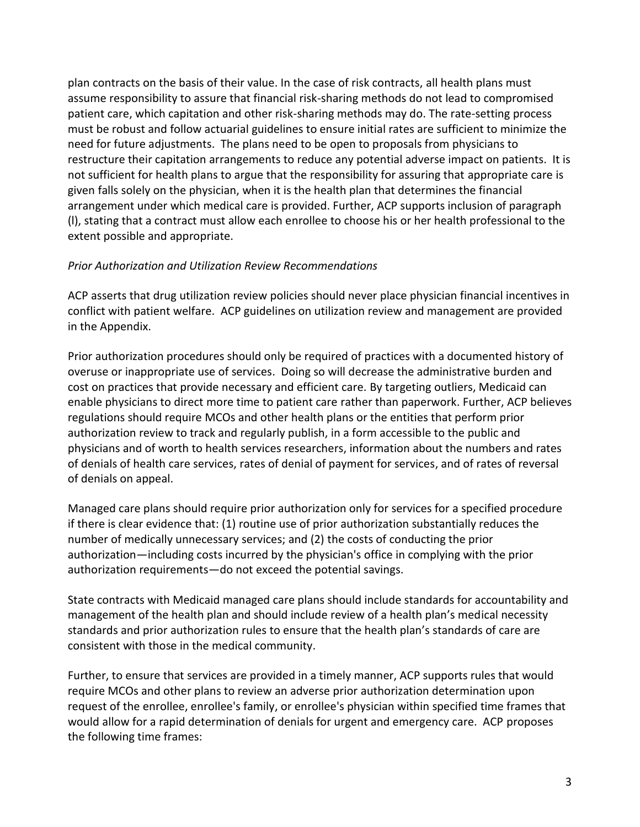plan contracts on the basis of their value. In the case of risk contracts, all health plans must assume responsibility to assure that financial risk-sharing methods do not lead to compromised patient care, which capitation and other risk-sharing methods may do. The rate-setting process must be robust and follow actuarial guidelines to ensure initial rates are sufficient to minimize the need for future adjustments. The plans need to be open to proposals from physicians to restructure their capitation arrangements to reduce any potential adverse impact on patients. It is not sufficient for health plans to argue that the responsibility for assuring that appropriate care is given falls solely on the physician, when it is the health plan that determines the financial arrangement under which medical care is provided. Further, ACP supports inclusion of paragraph (l), stating that a contract must allow each enrollee to choose his or her health professional to the extent possible and appropriate.

#### *Prior Authorization and Utilization Review Recommendations*

ACP asserts that drug utilization review policies should never place physician financial incentives in conflict with patient welfare. ACP guidelines on utilization review and management are provided in the Appendix.

Prior authorization procedures should only be required of practices with a documented history of overuse or inappropriate use of services. Doing so will decrease the administrative burden and cost on practices that provide necessary and efficient care. By targeting outliers, Medicaid can enable physicians to direct more time to patient care rather than paperwork. Further, ACP believes regulations should require MCOs and other health plans or the entities that perform prior authorization review to track and regularly publish, in a form accessible to the public and physicians and of worth to health services researchers, information about the numbers and rates of denials of health care services, rates of denial of payment for services, and of rates of reversal of denials on appeal.

Managed care plans should require prior authorization only for services for a specified procedure if there is clear evidence that: (1) routine use of prior authorization substantially reduces the number of medically unnecessary services; and (2) the costs of conducting the prior authorization—including costs incurred by the physician's office in complying with the prior authorization requirements—do not exceed the potential savings.

State contracts with Medicaid managed care plans should include standards for accountability and management of the health plan and should include review of a health plan's medical necessity standards and prior authorization rules to ensure that the health plan's standards of care are consistent with those in the medical community.

Further, to ensure that services are provided in a timely manner, ACP supports rules that would require MCOs and other plans to review an adverse prior authorization determination upon request of the enrollee, enrollee's family, or enrollee's physician within specified time frames that would allow for a rapid determination of denials for urgent and emergency care. ACP proposes the following time frames: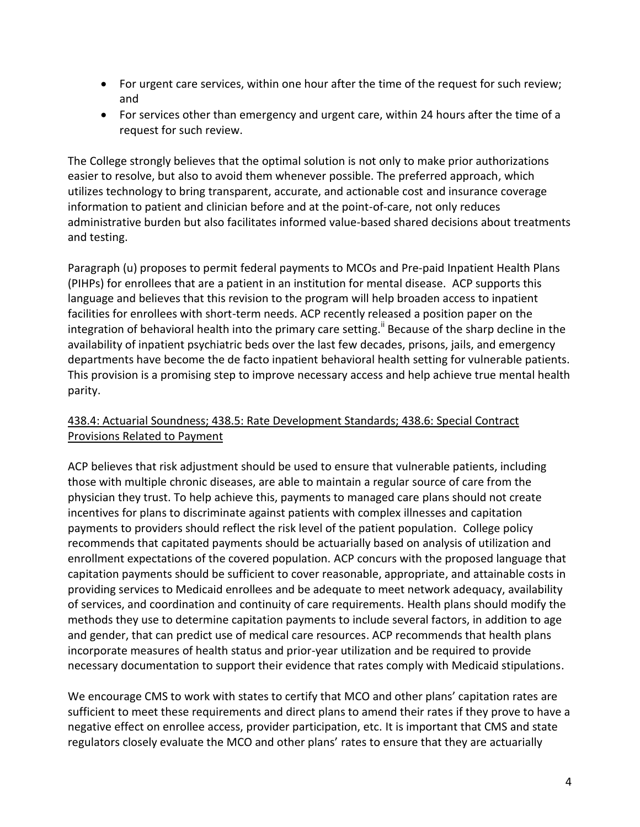- For urgent care services, within one hour after the time of the request for such review; and
- For services other than emergency and urgent care, within 24 hours after the time of a request for such review.

The College strongly believes that the optimal solution is not only to make prior authorizations easier to resolve, but also to avoid them whenever possible. The preferred approach, which utilizes technology to bring transparent, accurate, and actionable cost and insurance coverage information to patient and clinician before and at the point-of-care, not only reduces administrative burden but also facilitates informed value-based shared decisions about treatments and testing.

Paragraph (u) proposes to permit federal payments to MCOs and Pre-paid Inpatient Health Plans (PIHPs) for enrollees that are a patient in an institution for mental disease. ACP supports this language and believes that this revision to the program will help broaden access to inpatient facilities for enrollees with short-term needs. ACP recently released a position paper on the integration of behavioral health into the primary care setting.<sup>ii</sup> Because of the sharp decline in the availability of inpatient psychiatric beds over the last few decades, prisons, jails, and emergency departments have become the de facto inpatient behavioral health setting for vulnerable patients. This provision is a promising step to improve necessary access and help achieve true mental health parity.

## 438.4: Actuarial Soundness; 438.5: Rate Development Standards; 438.6: Special Contract Provisions Related to Payment

ACP believes that risk adjustment should be used to ensure that vulnerable patients, including those with multiple chronic diseases, are able to maintain a regular source of care from the physician they trust. To help achieve this, payments to managed care plans should not create incentives for plans to discriminate against patients with complex illnesses and capitation payments to providers should reflect the risk level of the patient population. College policy recommends that capitated payments should be actuarially based on analysis of utilization and enrollment expectations of the covered population. ACP concurs with the proposed language that capitation payments should be sufficient to cover reasonable, appropriate, and attainable costs in providing services to Medicaid enrollees and be adequate to meet network adequacy, availability of services, and coordination and continuity of care requirements. Health plans should modify the methods they use to determine capitation payments to include several factors, in addition to age and gender, that can predict use of medical care resources. ACP recommends that health plans incorporate measures of health status and prior-year utilization and be required to provide necessary documentation to support their evidence that rates comply with Medicaid stipulations.

We encourage CMS to work with states to certify that MCO and other plans' capitation rates are sufficient to meet these requirements and direct plans to amend their rates if they prove to have a negative effect on enrollee access, provider participation, etc. It is important that CMS and state regulators closely evaluate the MCO and other plans' rates to ensure that they are actuarially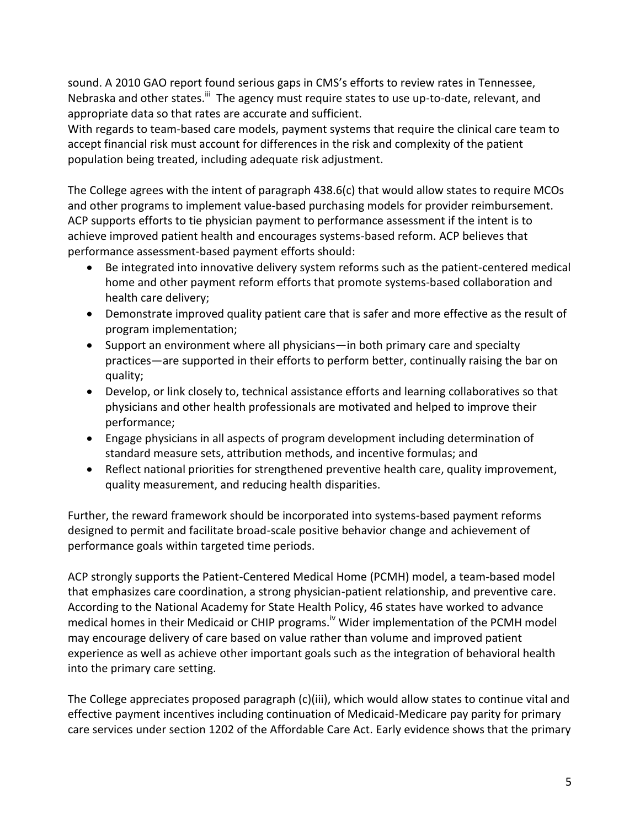sound. A 2010 GAO report found serious gaps in CMS's efforts to review rates in Tennessee, Nebraska and other states.<sup>iii</sup> The agency must require states to use up-to-date, relevant, and appropriate data so that rates are accurate and sufficient.

With regards to team-based care models, payment systems that require the clinical care team to accept financial risk must account for differences in the risk and complexity of the patient population being treated, including adequate risk adjustment.

The College agrees with the intent of paragraph 438.6(c) that would allow states to require MCOs and other programs to implement value-based purchasing models for provider reimbursement. ACP supports efforts to tie physician payment to performance assessment if the intent is to achieve improved patient health and encourages systems-based reform. ACP believes that performance assessment-based payment efforts should:

- Be integrated into innovative delivery system reforms such as the patient-centered medical home and other payment reform efforts that promote systems-based collaboration and health care delivery;
- Demonstrate improved quality patient care that is safer and more effective as the result of program implementation;
- Support an environment where all physicians—in both primary care and specialty practices—are supported in their efforts to perform better, continually raising the bar on quality;
- Develop, or link closely to, technical assistance efforts and learning collaboratives so that physicians and other health professionals are motivated and helped to improve their performance;
- Engage physicians in all aspects of program development including determination of standard measure sets, attribution methods, and incentive formulas; and
- Reflect national priorities for strengthened preventive health care, quality improvement, quality measurement, and reducing health disparities.

Further, the reward framework should be incorporated into systems-based payment reforms designed to permit and facilitate broad-scale positive behavior change and achievement of performance goals within targeted time periods.

ACP strongly supports the Patient-Centered Medical Home (PCMH) model, a team-based model that emphasizes care coordination, a strong physician-patient relationship, and preventive care. According to the National Academy for State Health Policy, 46 states have worked to advance medical homes in their Medicaid or CHIP programs.<sup>iv</sup> Wider implementation of the PCMH model may encourage delivery of care based on value rather than volume and improved patient experience as well as achieve other important goals such as the integration of behavioral health into the primary care setting.

The College appreciates proposed paragraph (c)(iii), which would allow states to continue vital and effective payment incentives including continuation of Medicaid-Medicare pay parity for primary care services under section 1202 of the Affordable Care Act. Early evidence shows that the primary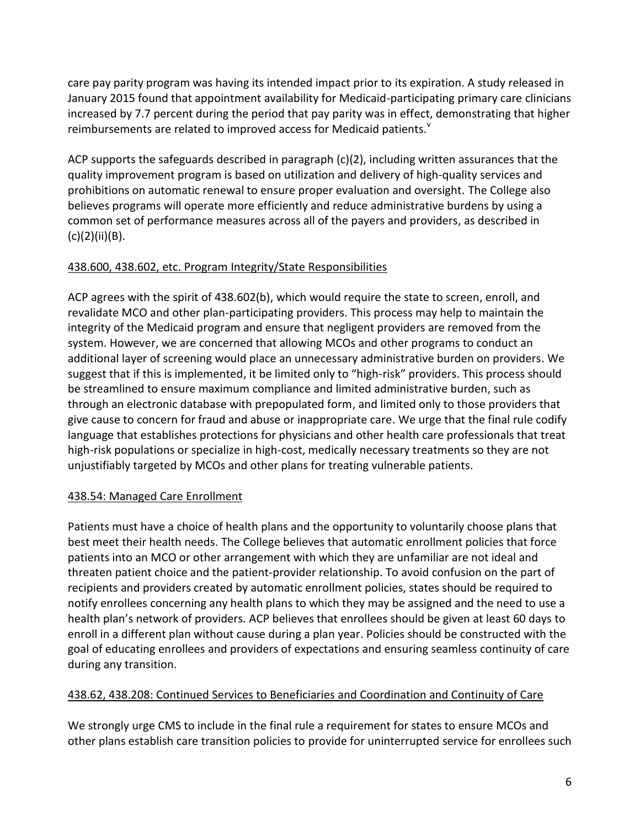care pay parity program was having its intended impact prior to its expiration. A study released in January 2015 found that appointment availability for Medicaid-participating primary care clinicians increased by 7.7 percent during the period that pay parity was in effect, demonstrating that higher reimbursements are related to improved access for Medicaid patients.<sup>v</sup>

ACP supports the safeguards described in paragraph (c)(2), including written assurances that the quality improvement program is based on utilization and delivery of high-quality services and prohibitions on automatic renewal to ensure proper evaluation and oversight. The College also believes programs will operate more efficiently and reduce administrative burdens by using a common set of performance measures across all of the payers and providers, as described in (c)(2)(ii)(B).

## 438.600, 438.602, etc. Program Integrity/State Responsibilities

ACP agrees with the spirit of 438.602(b), which would require the state to screen, enroll, and revalidate MCO and other plan-participating providers. This process may help to maintain the integrity of the Medicaid program and ensure that negligent providers are removed from the system. However, we are concerned that allowing MCOs and other programs to conduct an additional layer of screening would place an unnecessary administrative burden on providers. We suggest that if this is implemented, it be limited only to "high-risk" providers. This process should be streamlined to ensure maximum compliance and limited administrative burden, such as through an electronic database with prepopulated form, and limited only to those providers that give cause to concern for fraud and abuse or inappropriate care. We urge that the final rule codify language that establishes protections for physicians and other health care professionals that treat high-risk populations or specialize in high-cost, medically necessary treatments so they are not unjustifiably targeted by MCOs and other plans for treating vulnerable patients.

### 438.54: Managed Care Enrollment

Patients must have a choice of health plans and the opportunity to voluntarily choose plans that best meet their health needs. The College believes that automatic enrollment policies that force patients into an MCO or other arrangement with which they are unfamiliar are not ideal and threaten patient choice and the patient-provider relationship. To avoid confusion on the part of recipients and providers created by automatic enrollment policies, states should be required to notify enrollees concerning any health plans to which they may be assigned and the need to use a health plan's network of providers. ACP believes that enrollees should be given at least 60 days to enroll in a different plan without cause during a plan year. Policies should be constructed with the goal of educating enrollees and providers of expectations and ensuring seamless continuity of care during any transition.

### 438.62, 438.208: Continued Services to Beneficiaries and Coordination and Continuity of Care

We strongly urge CMS to include in the final rule a requirement for states to ensure MCOs and other plans establish care transition policies to provide for uninterrupted service for enrollees such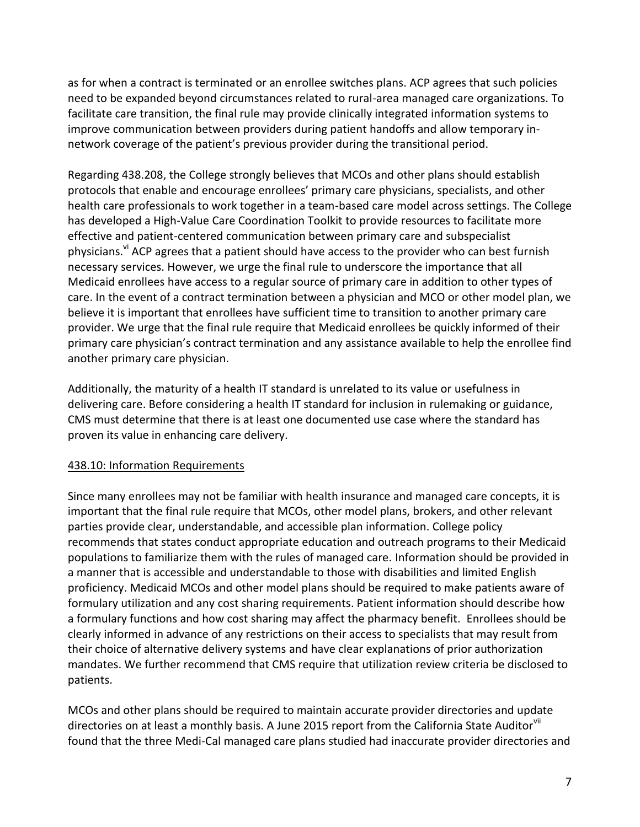as for when a contract is terminated or an enrollee switches plans. ACP agrees that such policies need to be expanded beyond circumstances related to rural-area managed care organizations. To facilitate care transition, the final rule may provide clinically integrated information systems to improve communication between providers during patient handoffs and allow temporary innetwork coverage of the patient's previous provider during the transitional period.

Regarding 438.208, the College strongly believes that MCOs and other plans should establish protocols that enable and encourage enrollees' primary care physicians, specialists, and other health care professionals to work together in a team-based care model across settings. The College has developed a High-Value Care Coordination Toolkit to provide resources to facilitate more effective and patient-centered communication between primary care and subspecialist physicians.<sup>v</sup> ACP agrees that a patient should have access to the provider who can best furnish necessary services. However, we urge the final rule to underscore the importance that all Medicaid enrollees have access to a regular source of primary care in addition to other types of care. In the event of a contract termination between a physician and MCO or other model plan, we believe it is important that enrollees have sufficient time to transition to another primary care provider. We urge that the final rule require that Medicaid enrollees be quickly informed of their primary care physician's contract termination and any assistance available to help the enrollee find another primary care physician.

Additionally, the maturity of a health IT standard is unrelated to its value or usefulness in delivering care. Before considering a health IT standard for inclusion in rulemaking or guidance, CMS must determine that there is at least one documented use case where the standard has proven its value in enhancing care delivery.

### 438.10: Information Requirements

Since many enrollees may not be familiar with health insurance and managed care concepts, it is important that the final rule require that MCOs, other model plans, brokers, and other relevant parties provide clear, understandable, and accessible plan information. College policy recommends that states conduct appropriate education and outreach programs to their Medicaid populations to familiarize them with the rules of managed care. Information should be provided in a manner that is accessible and understandable to those with disabilities and limited English proficiency. Medicaid MCOs and other model plans should be required to make patients aware of formulary utilization and any cost sharing requirements. Patient information should describe how a formulary functions and how cost sharing may affect the pharmacy benefit. Enrollees should be clearly informed in advance of any restrictions on their access to specialists that may result from their choice of alternative delivery systems and have clear explanations of prior authorization mandates. We further recommend that CMS require that utilization review criteria be disclosed to patients.

MCOs and other plans should be required to maintain accurate provider directories and update directories on at least a monthly basis. A June 2015 report from the California State Auditorvii found that the three Medi-Cal managed care plans studied had inaccurate provider directories and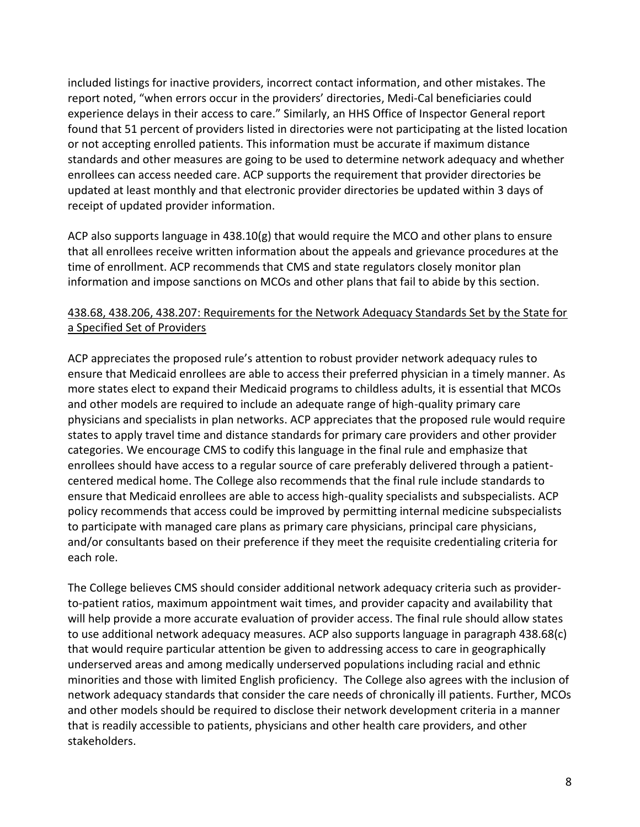included listings for inactive providers, incorrect contact information, and other mistakes. The report noted, "when errors occur in the providers' directories, Medi-Cal beneficiaries could experience delays in their access to care." Similarly, an HHS Office of Inspector General report found that 51 percent of providers listed in directories were not participating at the listed location or not accepting enrolled patients. This information must be accurate if maximum distance standards and other measures are going to be used to determine network adequacy and whether enrollees can access needed care. ACP supports the requirement that provider directories be updated at least monthly and that electronic provider directories be updated within 3 days of receipt of updated provider information.

ACP also supports language in 438.10(g) that would require the MCO and other plans to ensure that all enrollees receive written information about the appeals and grievance procedures at the time of enrollment. ACP recommends that CMS and state regulators closely monitor plan information and impose sanctions on MCOs and other plans that fail to abide by this section.

## 438.68, 438.206, 438.207: Requirements for the Network Adequacy Standards Set by the State for a Specified Set of Providers

ACP appreciates the proposed rule's attention to robust provider network adequacy rules to ensure that Medicaid enrollees are able to access their preferred physician in a timely manner. As more states elect to expand their Medicaid programs to childless adults, it is essential that MCOs and other models are required to include an adequate range of high-quality primary care physicians and specialists in plan networks. ACP appreciates that the proposed rule would require states to apply travel time and distance standards for primary care providers and other provider categories. We encourage CMS to codify this language in the final rule and emphasize that enrollees should have access to a regular source of care preferably delivered through a patientcentered medical home. The College also recommends that the final rule include standards to ensure that Medicaid enrollees are able to access high-quality specialists and subspecialists. ACP policy recommends that access could be improved by permitting internal medicine subspecialists to participate with managed care plans as primary care physicians, principal care physicians, and/or consultants based on their preference if they meet the requisite credentialing criteria for each role.

The College believes CMS should consider additional network adequacy criteria such as providerto-patient ratios, maximum appointment wait times, and provider capacity and availability that will help provide a more accurate evaluation of provider access. The final rule should allow states to use additional network adequacy measures. ACP also supports language in paragraph 438.68(c) that would require particular attention be given to addressing access to care in geographically underserved areas and among medically underserved populations including racial and ethnic minorities and those with limited English proficiency. The College also agrees with the inclusion of network adequacy standards that consider the care needs of chronically ill patients. Further, MCOs and other models should be required to disclose their network development criteria in a manner that is readily accessible to patients, physicians and other health care providers, and other stakeholders.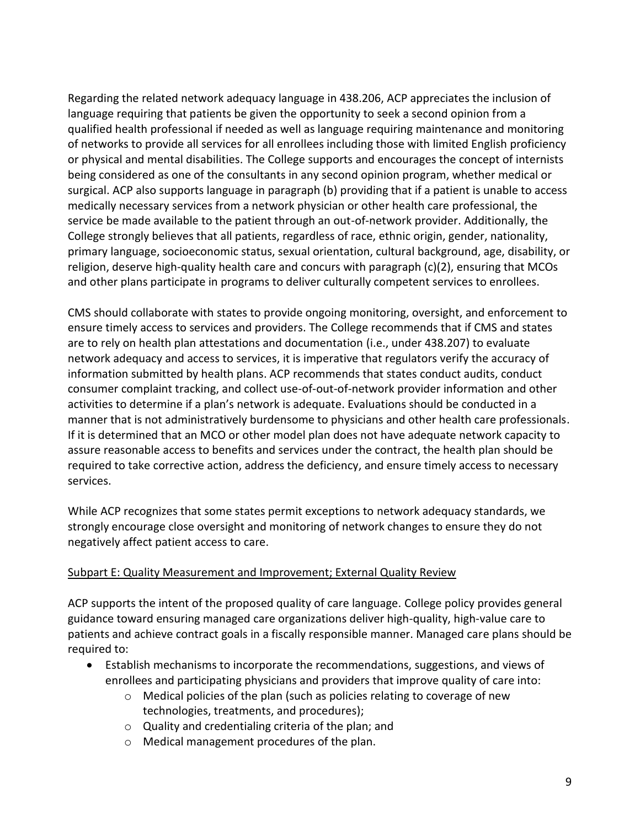Regarding the related network adequacy language in 438.206, ACP appreciates the inclusion of language requiring that patients be given the opportunity to seek a second opinion from a qualified health professional if needed as well as language requiring maintenance and monitoring of networks to provide all services for all enrollees including those with limited English proficiency or physical and mental disabilities. The College supports and encourages the concept of internists being considered as one of the consultants in any second opinion program, whether medical or surgical. ACP also supports language in paragraph (b) providing that if a patient is unable to access medically necessary services from a network physician or other health care professional, the service be made available to the patient through an out-of-network provider. Additionally, the College strongly believes that all patients, regardless of race, ethnic origin, gender, nationality, primary language, socioeconomic status, sexual orientation, cultural background, age, disability, or religion, deserve high-quality health care and concurs with paragraph (c)(2), ensuring that MCOs and other plans participate in programs to deliver culturally competent services to enrollees.

CMS should collaborate with states to provide ongoing monitoring, oversight, and enforcement to ensure timely access to services and providers. The College recommends that if CMS and states are to rely on health plan attestations and documentation (i.e., under 438.207) to evaluate network adequacy and access to services, it is imperative that regulators verify the accuracy of information submitted by health plans. ACP recommends that states conduct audits, conduct consumer complaint tracking, and collect use-of-out-of-network provider information and other activities to determine if a plan's network is adequate. Evaluations should be conducted in a manner that is not administratively burdensome to physicians and other health care professionals. If it is determined that an MCO or other model plan does not have adequate network capacity to assure reasonable access to benefits and services under the contract, the health plan should be required to take corrective action, address the deficiency, and ensure timely access to necessary services.

While ACP recognizes that some states permit exceptions to network adequacy standards, we strongly encourage close oversight and monitoring of network changes to ensure they do not negatively affect patient access to care.

### Subpart E: Quality Measurement and Improvement; External Quality Review

ACP supports the intent of the proposed quality of care language. College policy provides general guidance toward ensuring managed care organizations deliver high-quality, high-value care to patients and achieve contract goals in a fiscally responsible manner. Managed care plans should be required to:

- Establish mechanisms to incorporate the recommendations, suggestions, and views of enrollees and participating physicians and providers that improve quality of care into:
	- o Medical policies of the plan (such as policies relating to coverage of new technologies, treatments, and procedures);
	- o Quality and credentialing criteria of the plan; and
	- o Medical management procedures of the plan.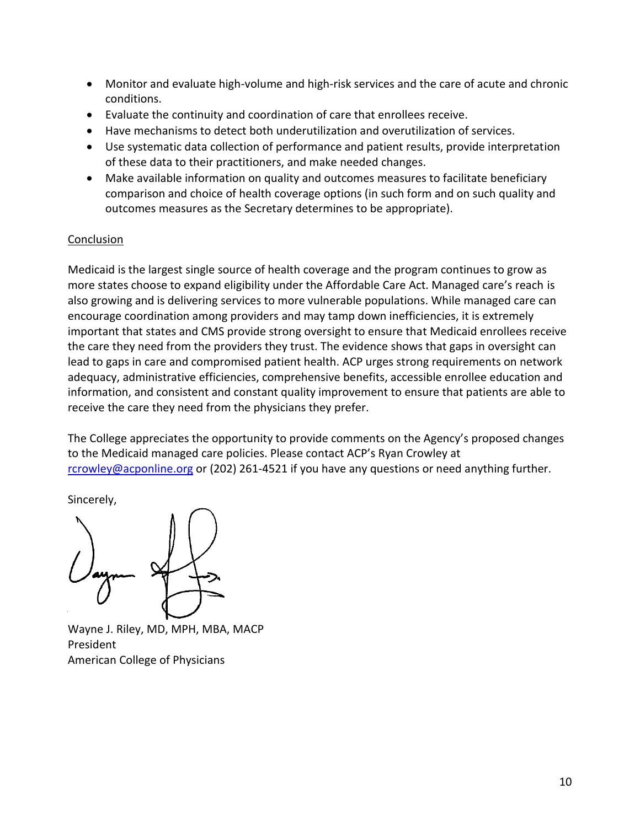- Monitor and evaluate high-volume and high-risk services and the care of acute and chronic conditions.
- Evaluate the continuity and coordination of care that enrollees receive.
- Have mechanisms to detect both underutilization and overutilization of services.
- Use systematic data collection of performance and patient results, provide interpretation of these data to their practitioners, and make needed changes.
- Make available information on quality and outcomes measures to facilitate beneficiary comparison and choice of health coverage options (in such form and on such quality and outcomes measures as the Secretary determines to be appropriate).

### **Conclusion**

Medicaid is the largest single source of health coverage and the program continues to grow as more states choose to expand eligibility under the Affordable Care Act. Managed care's reach is also growing and is delivering services to more vulnerable populations. While managed care can encourage coordination among providers and may tamp down inefficiencies, it is extremely important that states and CMS provide strong oversight to ensure that Medicaid enrollees receive the care they need from the providers they trust. The evidence shows that gaps in oversight can lead to gaps in care and compromised patient health. ACP urges strong requirements on network adequacy, administrative efficiencies, comprehensive benefits, accessible enrollee education and information, and consistent and constant quality improvement to ensure that patients are able to receive the care they need from the physicians they prefer.

The College appreciates the opportunity to provide comments on the Agency's proposed changes to the Medicaid managed care policies. Please contact ACP's Ryan Crowley at [rcrowley@acponline.org](mailto:rcrowley@acponline.org) or (202) 261-4521 if you have any questions or need anything further.

Sincerely,

Wayne J. Riley, MD, MPH, MBA, MACP President American College of Physicians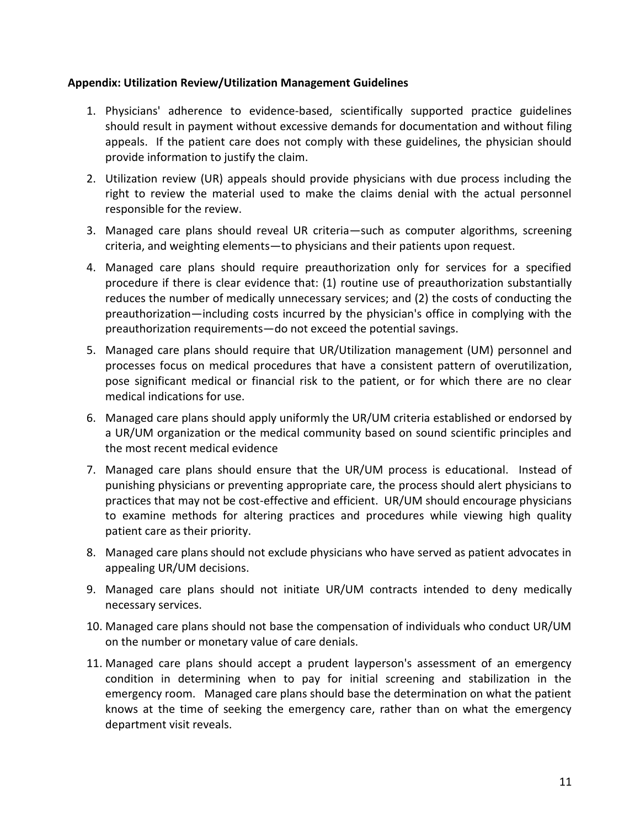#### **Appendix: Utilization Review/Utilization Management Guidelines**

- 1. Physicians' adherence to evidence-based, scientifically supported practice guidelines should result in payment without excessive demands for documentation and without filing appeals. If the patient care does not comply with these guidelines, the physician should provide information to justify the claim.
- 2. Utilization review (UR) appeals should provide physicians with due process including the right to review the material used to make the claims denial with the actual personnel responsible for the review.
- 3. Managed care plans should reveal UR criteria—such as computer algorithms, screening criteria, and weighting elements—to physicians and their patients upon request.
- 4. Managed care plans should require preauthorization only for services for a specified procedure if there is clear evidence that: (1) routine use of preauthorization substantially reduces the number of medically unnecessary services; and (2) the costs of conducting the preauthorization—including costs incurred by the physician's office in complying with the preauthorization requirements—do not exceed the potential savings.
- 5. Managed care plans should require that UR/Utilization management (UM) personnel and processes focus on medical procedures that have a consistent pattern of overutilization, pose significant medical or financial risk to the patient, or for which there are no clear medical indications for use.
- 6. Managed care plans should apply uniformly the UR/UM criteria established or endorsed by a UR/UM organization or the medical community based on sound scientific principles and the most recent medical evidence
- 7. Managed care plans should ensure that the UR/UM process is educational. Instead of punishing physicians or preventing appropriate care, the process should alert physicians to practices that may not be cost-effective and efficient. UR/UM should encourage physicians to examine methods for altering practices and procedures while viewing high quality patient care as their priority.
- 8. Managed care plans should not exclude physicians who have served as patient advocates in appealing UR/UM decisions.
- 9. Managed care plans should not initiate UR/UM contracts intended to deny medically necessary services.
- 10. Managed care plans should not base the compensation of individuals who conduct UR/UM on the number or monetary value of care denials.
- 11. Managed care plans should accept a prudent layperson's assessment of an emergency condition in determining when to pay for initial screening and stabilization in the emergency room. Managed care plans should base the determination on what the patient knows at the time of seeking the emergency care, rather than on what the emergency department visit reveals.